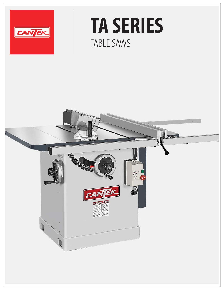